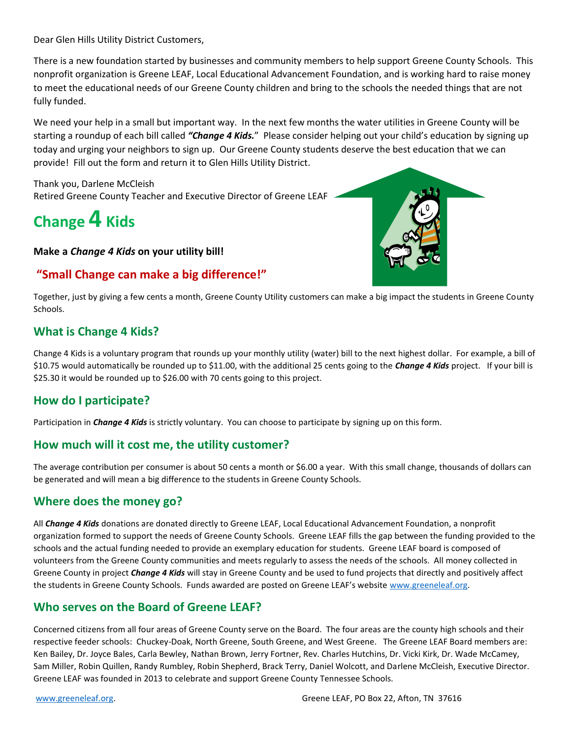Dear Glen Hills Utility District Customers,

There is a new foundation started by businesses and community members to help support Greene County Schools. This nonprofit organization is Greene LEAF, Local Educational Advancement Foundation, and is working hard to raise money to meet the educational needs of our Greene County children and bring to the schools the needed things that are not fully funded.

We need your help in a small but important way. In the next few months the water utilities in Greene County will be starting a roundup of each bill called *"Change 4 Kids.*" Please consider helping out your child's education by signing up today and urging your neighbors to sign up. Our Greene County students deserve the best education that we can provide! Fill out the form and return it to Glen Hills Utility District.

Thank you, Darlene McCleish Retired Greene County Teacher and Executive Director of Greene LEAF

## **Change 4 Kids**

**Make a** *Change 4 Kids* **on your utility bill!**

### **"Small Change can make a big difference!"**



Together, just by giving a few cents a month, Greene County Utility customers can make a big impact the students in Greene County Schools.

### **What is Change 4 Kids?**

Change 4 Kids is a voluntary program that rounds up your monthly utility (water) bill to the next highest dollar. For example, a bill of \$10.75 would automatically be rounded up to \$11.00, with the additional 25 cents going to the *Change 4 Kids* project. If your bill is \$25.30 it would be rounded up to \$26.00 with 70 cents going to this project.

### **How do I participate?**

Participation in *Change 4 Kids* is strictly voluntary. You can choose to participate by signing up on this form.

### **How much will it cost me, the utility customer?**

The average contribution per consumer is about 50 cents a month or \$6.00 a year. With this small change, thousands of dollars can be generated and will mean a big difference to the students in Greene County Schools.

### **Where does the money go?**

All *Change 4 Kids* donations are donated directly to Greene LEAF, Local Educational Advancement Foundation, a nonprofit organization formed to support the needs of Greene County Schools. Greene LEAF fills the gap between the funding provided to the schools and the actual funding needed to provide an exemplary education for students. Greene LEAF board is composed of volunteers from the Greene County communities and meets regularly to assess the needs of the schools. All money collected in Greene County in project *Change 4 Kids* will stay in Greene County and be used to fund projects that directly and positively affect the students in Greene County Schools. Funds awarded are posted on Greene LEAF's website [www.greeneleaf.org.](http://www.greeneleaf.org/)

### **Who serves on the Board of Greene LEAF?**

Concerned citizens from all four areas of Greene County serve on the Board. The four areas are the county high schools and their respective feeder schools: Chuckey-Doak, North Greene, South Greene, and West Greene. The Greene LEAF Board members are: Ken Bailey, Dr. Joyce Bales, Carla Bewley, Nathan Brown, Jerry Fortner, Rev. Charles Hutchins, Dr. Vicki Kirk, Dr. Wade McCamey, Sam Miller, Robin Quillen, Randy Rumbley, Robin Shepherd, Brack Terry, Daniel Wolcott, and Darlene McCleish, Executive Director. Greene LEAF was founded in 2013 to celebrate and support Greene County Tennessee Schools.